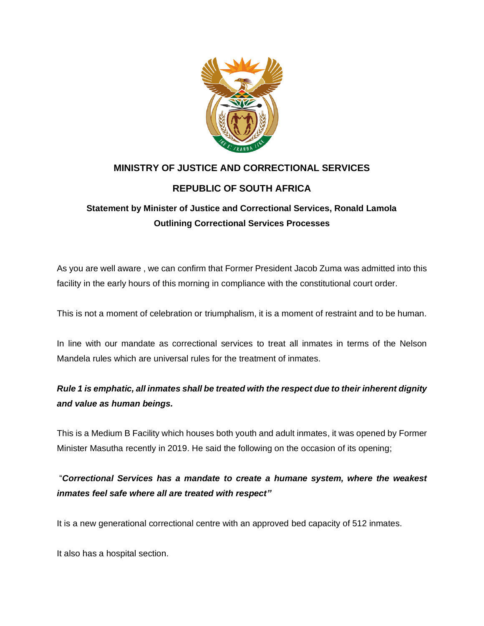

## **MINISTRY OF JUSTICE AND CORRECTIONAL SERVICES REPUBLIC OF SOUTH AFRICA**

## **Statement by Minister of Justice and Correctional Services, Ronald Lamola Outlining Correctional Services Processes**

As you are well aware , we can confirm that Former President Jacob Zuma was admitted into this facility in the early hours of this morning in compliance with the constitutional court order.

This is not a moment of celebration or triumphalism, it is a moment of restraint and to be human.

In line with our mandate as correctional services to treat all inmates in terms of the Nelson Mandela rules which are universal rules for the treatment of inmates.

## *Rule 1 is emphatic, all inmates shall be treated with the respect due to their inherent dignity and value as human beings.*

This is a Medium B Facility which houses both youth and adult inmates, it was opened by Former Minister Masutha recently in 2019. He said the following on the occasion of its opening;

"*Correctional Services has a mandate to create a humane system, where the weakest inmates feel safe where all are treated with respect"* 

It is a new generational correctional centre with an approved bed capacity of 512 inmates.

It also has a hospital section.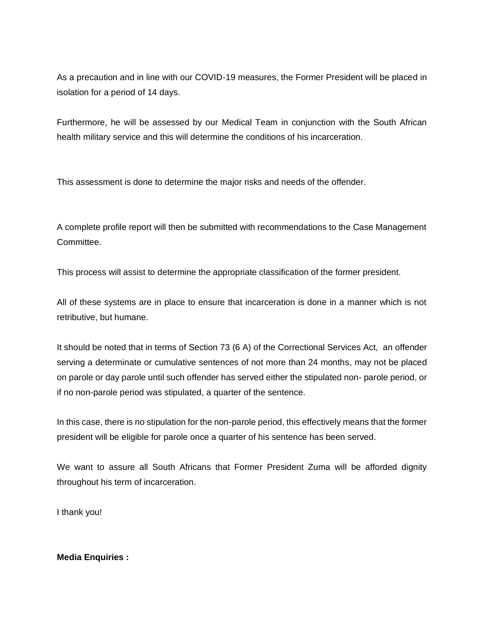As a precaution and in line with our COVID-19 measures, the Former President will be placed in isolation for a period of 14 days.

Furthermore, he will be assessed by our Medical Team in conjunction with the South African health military service and this will determine the conditions of his incarceration.

This assessment is done to determine the major risks and needs of the offender.

A complete profile report will then be submitted with recommendations to the Case Management Committee.

This process will assist to determine the appropriate classification of the former president.

All of these systems are in place to ensure that incarceration is done in a manner which is not retributive, but humane.

It should be noted that in terms of Section 73 (6 A) of the Correctional Services Act, an offender serving a determinate or cumulative sentences of not more than 24 months, may not be placed on parole or day parole until such offender has served either the stipulated non- parole period, or if no non-parole period was stipulated, a quarter of the sentence.

In this case, there is no stipulation for the non-parole period, this effectively means that the former president will be eligible for parole once a quarter of his sentence has been served.

We want to assure all South Africans that Former President Zuma will be afforded dignity throughout his term of incarceration.

I thank you!

**Media Enquiries :**